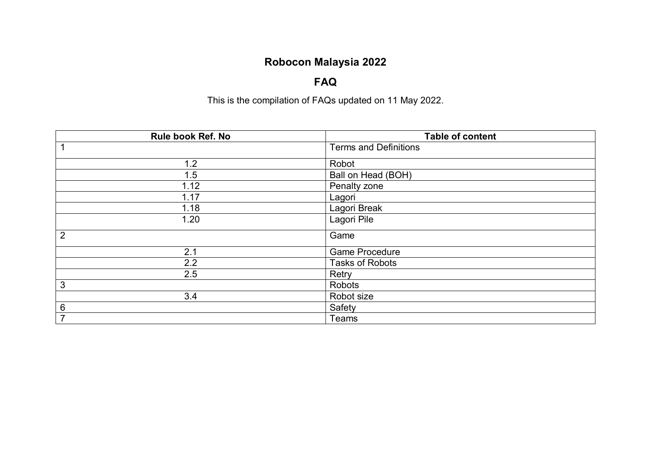# **Robocon Malaysia 2022**

### **FAQ**

This is the compilation of FAQs updated on 11 May 2022.

| Rule book Ref. No | <b>Table of content</b>      |
|-------------------|------------------------------|
| 1                 | <b>Terms and Definitions</b> |
| 1.2               | Robot                        |
| 1.5               | Ball on Head (BOH)           |
| 1.12              | Penalty zone                 |
| 1.17              | Lagori                       |
| 1.18              | Lagori Break                 |
| 1.20              | Lagori Pile                  |
| $\overline{2}$    | Game                         |
| 2.1               | <b>Game Procedure</b>        |
| 2.2               | <b>Tasks of Robots</b>       |
| 2.5               | Retry                        |
| $\sqrt{3}$        | Robots                       |
| 3.4               | Robot size                   |
| $\,6$             | Safety                       |
| $\overline{7}$    | Teams                        |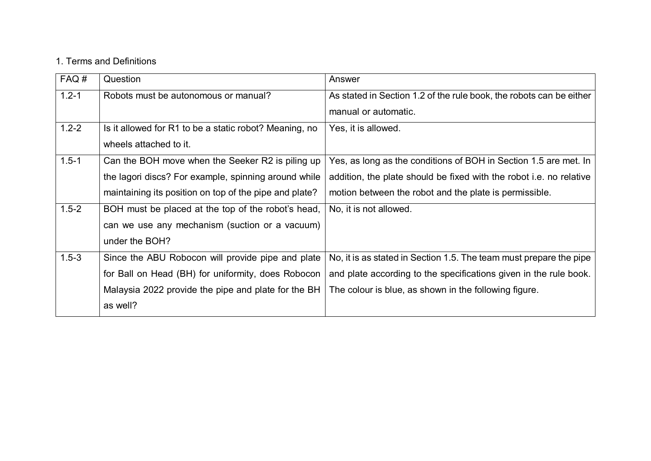#### 1. Terms and Definitions

| FAQ#      | Question                                               | Answer                                                                     |
|-----------|--------------------------------------------------------|----------------------------------------------------------------------------|
| $1.2 - 1$ | Robots must be autonomous or manual?                   | As stated in Section 1.2 of the rule book, the robots can be either        |
|           |                                                        | manual or automatic.                                                       |
| $1.2 - 2$ | Is it allowed for R1 to be a static robot? Meaning, no | Yes, it is allowed.                                                        |
|           | wheels attached to it.                                 |                                                                            |
| $1.5 - 1$ | Can the BOH move when the Seeker R2 is piling up       | Yes, as long as the conditions of BOH in Section 1.5 are met. In           |
|           | the lagori discs? For example, spinning around while   | addition, the plate should be fixed with the robot <i>i.e.</i> no relative |
|           | maintaining its position on top of the pipe and plate? | motion between the robot and the plate is permissible.                     |
| $1.5 - 2$ | BOH must be placed at the top of the robot's head,     | No, it is not allowed.                                                     |
|           | can we use any mechanism (suction or a vacuum)         |                                                                            |
|           | under the BOH?                                         |                                                                            |
| $1.5 - 3$ | Since the ABU Robocon will provide pipe and plate      | No, it is as stated in Section 1.5. The team must prepare the pipe         |
|           | for Ball on Head (BH) for uniformity, does Robocon     | and plate according to the specifications given in the rule book.          |
|           | Malaysia 2022 provide the pipe and plate for the BH    | The colour is blue, as shown in the following figure.                      |
|           | as well?                                               |                                                                            |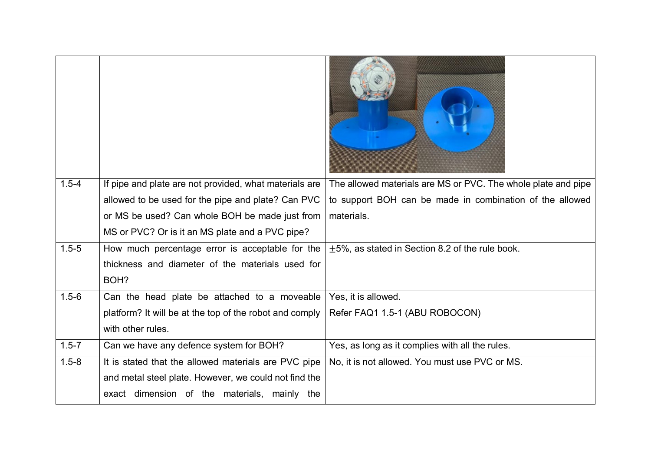| $1.5 - 4$ | If pipe and plate are not provided, what materials are  | The allowed materials are MS or PVC. The whole plate and pipe |
|-----------|---------------------------------------------------------|---------------------------------------------------------------|
|           | allowed to be used for the pipe and plate? Can PVC      | to support BOH can be made in combination of the allowed      |
|           | or MS be used? Can whole BOH be made just from          | materials.                                                    |
|           | MS or PVC? Or is it an MS plate and a PVC pipe?         |                                                               |
| $1.5 - 5$ | How much percentage error is acceptable for the         | $\pm$ 5%, as stated in Section 8.2 of the rule book.          |
|           | thickness and diameter of the materials used for        |                                                               |
|           | BOH?                                                    |                                                               |
| $1.5 - 6$ | Can the head plate be attached to a moveable            | Yes, it is allowed.                                           |
|           | platform? It will be at the top of the robot and comply | Refer FAQ1 1.5-1 (ABU ROBOCON)                                |
|           | with other rules.                                       |                                                               |
| $1.5 - 7$ | Can we have any defence system for BOH?                 | Yes, as long as it complies with all the rules.               |
| $1.5 - 8$ | It is stated that the allowed materials are PVC pipe    | No, it is not allowed. You must use PVC or MS.                |
|           | and metal steel plate. However, we could not find the   |                                                               |
|           | exact dimension of the materials, mainly the            |                                                               |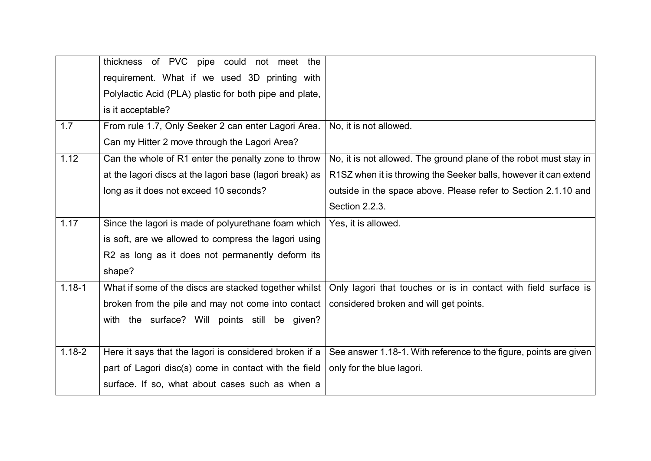|            | thickness of PVC pipe could not meet the                 |                                                                   |
|------------|----------------------------------------------------------|-------------------------------------------------------------------|
|            | requirement. What if we used 3D printing with            |                                                                   |
|            | Polylactic Acid (PLA) plastic for both pipe and plate,   |                                                                   |
|            | is it acceptable?                                        |                                                                   |
| 1.7        | From rule 1.7, Only Seeker 2 can enter Lagori Area.      | No, it is not allowed.                                            |
|            | Can my Hitter 2 move through the Lagori Area?            |                                                                   |
| 1.12       | Can the whole of R1 enter the penalty zone to throw      | No, it is not allowed. The ground plane of the robot must stay in |
|            | at the lagori discs at the lagori base (lagori break) as | R1SZ when it is throwing the Seeker balls, however it can extend  |
|            | long as it does not exceed 10 seconds?                   | outside in the space above. Please refer to Section 2.1.10 and    |
|            |                                                          | Section 2.2.3.                                                    |
| 1.17       | Since the lagori is made of polyurethane foam which      | Yes, it is allowed.                                               |
|            | is soft, are we allowed to compress the lagori using     |                                                                   |
|            | R2 as long as it does not permanently deform its         |                                                                   |
|            | shape?                                                   |                                                                   |
| $1.18 - 1$ | What if some of the discs are stacked together whilst    | Only lagori that touches or is in contact with field surface is   |
|            | broken from the pile and may not come into contact       | considered broken and will get points.                            |
|            | with the surface? Will points still be given?            |                                                                   |
|            |                                                          |                                                                   |
| $1.18 - 2$ | Here it says that the lagori is considered broken if a   | See answer 1.18-1. With reference to the figure, points are given |
|            | part of Lagori disc(s) come in contact with the field    | only for the blue lagori.                                         |
|            | surface. If so, what about cases such as when a          |                                                                   |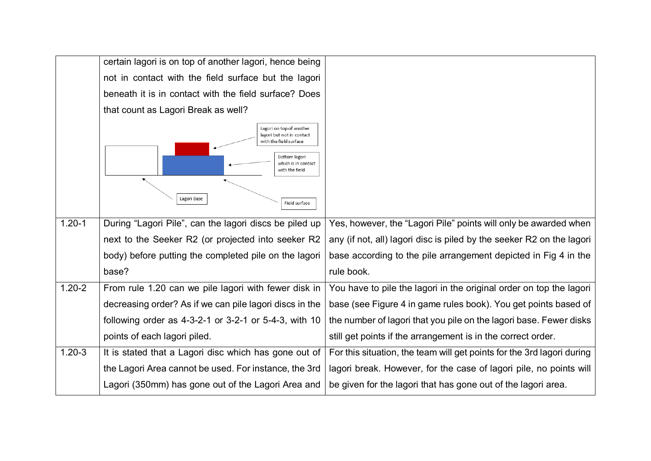|            | certain lagori is on top of another lagori, hence being                                                                                                                   |                                                                        |
|------------|---------------------------------------------------------------------------------------------------------------------------------------------------------------------------|------------------------------------------------------------------------|
|            | not in contact with the field surface but the lagori                                                                                                                      |                                                                        |
|            | beneath it is in contact with the field surface? Does                                                                                                                     |                                                                        |
|            | that count as Lagori Break as well?                                                                                                                                       |                                                                        |
|            | Lagori on top of another<br>lagori but not in contact<br>with the field surface<br>Bottom lagori<br>which is in contact<br>with the field<br>Lagori Base<br>Field surface |                                                                        |
| $1.20 - 1$ | During "Lagori Pile", can the lagori discs be piled up                                                                                                                    | Yes, however, the "Lagori Pile" points will only be awarded when       |
|            | next to the Seeker R2 (or projected into seeker R2                                                                                                                        | any (if not, all) lagori disc is piled by the seeker R2 on the lagori  |
|            | body) before putting the completed pile on the lagori                                                                                                                     | base according to the pile arrangement depicted in Fig 4 in the        |
|            | base?                                                                                                                                                                     | rule book.                                                             |
| $1.20 - 2$ | From rule 1.20 can we pile lagori with fewer disk in                                                                                                                      | You have to pile the lagori in the original order on top the lagori    |
|            | decreasing order? As if we can pile lagori discs in the                                                                                                                   | base (see Figure 4 in game rules book). You get points based of        |
|            | following order as 4-3-2-1 or 3-2-1 or 5-4-3, with 10                                                                                                                     | the number of lagori that you pile on the lagori base. Fewer disks     |
|            | points of each lagori piled.                                                                                                                                              | still get points if the arrangement is in the correct order.           |
| $1.20 - 3$ | It is stated that a Lagori disc which has gone out of                                                                                                                     | For this situation, the team will get points for the 3rd lagori during |
|            | the Lagori Area cannot be used. For instance, the 3rd                                                                                                                     | lagori break. However, for the case of lagori pile, no points will     |
|            | Lagori (350mm) has gone out of the Lagori Area and                                                                                                                        | be given for the lagori that has gone out of the lagori area.          |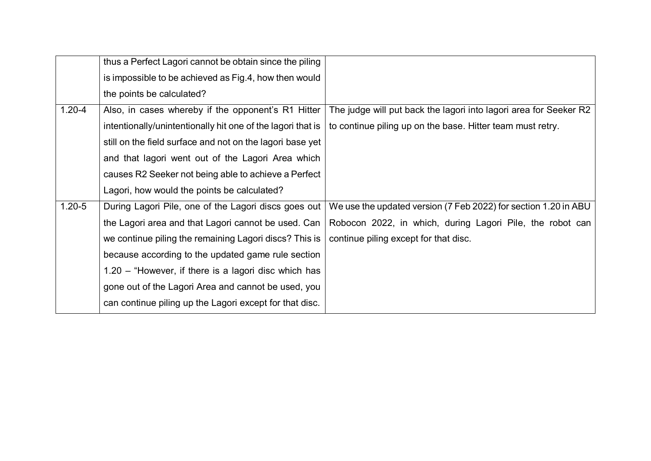|            | thus a Perfect Lagori cannot be obtain since the piling     |                                                                   |
|------------|-------------------------------------------------------------|-------------------------------------------------------------------|
|            | is impossible to be achieved as Fig.4, how then would       |                                                                   |
|            | the points be calculated?                                   |                                                                   |
| $1.20 - 4$ | Also, in cases whereby if the opponent's R1 Hitter          | The judge will put back the lagori into lagori area for Seeker R2 |
|            | intentionally/unintentionally hit one of the lagori that is | to continue piling up on the base. Hitter team must retry.        |
|            | still on the field surface and not on the lagori base yet   |                                                                   |
|            | and that lagori went out of the Lagori Area which           |                                                                   |
|            | causes R2 Seeker not being able to achieve a Perfect        |                                                                   |
|            | Lagori, how would the points be calculated?                 |                                                                   |
| $1.20 - 5$ | During Lagori Pile, one of the Lagori discs goes out        | We use the updated version (7 Feb 2022) for section 1.20 in ABU   |
|            | the Lagori area and that Lagori cannot be used. Can         | Robocon 2022, in which, during Lagori Pile, the robot can         |
|            | we continue piling the remaining Lagori discs? This is      | continue piling except for that disc.                             |
|            | because according to the updated game rule section          |                                                                   |
|            | $1.20$ – "However, if there is a lagori disc which has      |                                                                   |
|            | gone out of the Lagori Area and cannot be used, you         |                                                                   |
|            | can continue piling up the Lagori except for that disc.     |                                                                   |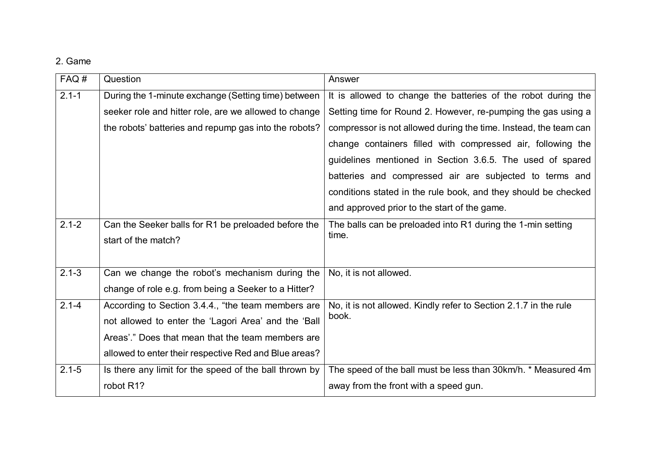### 2. Game

| FAQ#      | Question                                               | Answer                                                           |
|-----------|--------------------------------------------------------|------------------------------------------------------------------|
| $2.1 - 1$ | During the 1-minute exchange (Setting time) between    | It is allowed to change the batteries of the robot during the    |
|           | seeker role and hitter role, are we allowed to change  | Setting time for Round 2. However, re-pumping the gas using a    |
|           | the robots' batteries and repump gas into the robots?  | compressor is not allowed during the time. Instead, the team can |
|           |                                                        | change containers filled with compressed air, following the      |
|           |                                                        | guidelines mentioned in Section 3.6.5. The used of spared        |
|           |                                                        | batteries and compressed air are subjected to terms and          |
|           |                                                        | conditions stated in the rule book, and they should be checked   |
|           |                                                        | and approved prior to the start of the game.                     |
| $2.1 - 2$ | Can the Seeker balls for R1 be preloaded before the    | The balls can be preloaded into R1 during the 1-min setting      |
|           | start of the match?                                    | time.                                                            |
|           |                                                        |                                                                  |
| $2.1 - 3$ | Can we change the robot's mechanism during the         | No, it is not allowed.                                           |
|           | change of role e.g. from being a Seeker to a Hitter?   |                                                                  |
| $2.1 - 4$ | According to Section 3.4.4., "the team members are     | No, it is not allowed. Kindly refer to Section 2.1.7 in the rule |
|           | not allowed to enter the 'Lagori Area' and the 'Ball   | book.                                                            |
|           | Areas'." Does that mean that the team members are      |                                                                  |
|           | allowed to enter their respective Red and Blue areas?  |                                                                  |
| $2.1 - 5$ | Is there any limit for the speed of the ball thrown by | The speed of the ball must be less than 30km/h. * Measured 4m    |
|           | robot R1?                                              | away from the front with a speed gun.                            |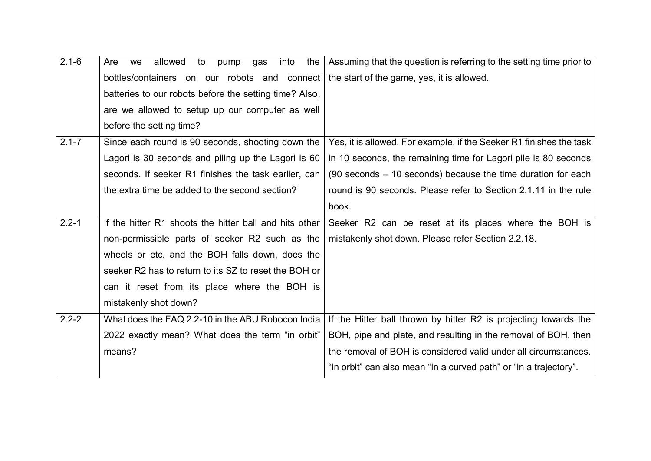| $2.1 - 6$ | allowed<br>into<br>the<br>Are<br>to<br>pump<br>gas<br>we | Assuming that the question is referring to the setting time prior to |
|-----------|----------------------------------------------------------|----------------------------------------------------------------------|
|           | bottles/containers on our robots and connect             | the start of the game, yes, it is allowed.                           |
|           | batteries to our robots before the setting time? Also,   |                                                                      |
|           | are we allowed to setup up our computer as well          |                                                                      |
|           | before the setting time?                                 |                                                                      |
| $2.1 - 7$ | Since each round is 90 seconds, shooting down the        | Yes, it is allowed. For example, if the Seeker R1 finishes the task  |
|           | Lagori is 30 seconds and piling up the Lagori is 60      | in 10 seconds, the remaining time for Lagori pile is 80 seconds      |
|           | seconds. If seeker R1 finishes the task earlier, can     | $(90$ seconds $-10$ seconds) because the time duration for each      |
|           | the extra time be added to the second section?           | round is 90 seconds. Please refer to Section 2.1.11 in the rule      |
|           |                                                          | book.                                                                |
| $2.2 - 1$ | If the hitter R1 shoots the hitter ball and hits other   | Seeker R2 can be reset at its places where the BOH is                |
|           | non-permissible parts of seeker R2 such as the           | mistakenly shot down. Please refer Section 2.2.18.                   |
|           | wheels or etc. and the BOH falls down, does the          |                                                                      |
|           | seeker R2 has to return to its SZ to reset the BOH or    |                                                                      |
|           | can it reset from its place where the BOH is             |                                                                      |
|           | mistakenly shot down?                                    |                                                                      |
| $2.2 - 2$ | What does the FAQ 2.2-10 in the ABU Robocon India        | If the Hitter ball thrown by hitter R2 is projecting towards the     |
|           | 2022 exactly mean? What does the term "in orbit"         | BOH, pipe and plate, and resulting in the removal of BOH, then       |
|           | means?                                                   | the removal of BOH is considered valid under all circumstances.      |
|           |                                                          | "in orbit" can also mean "in a curved path" or "in a trajectory".    |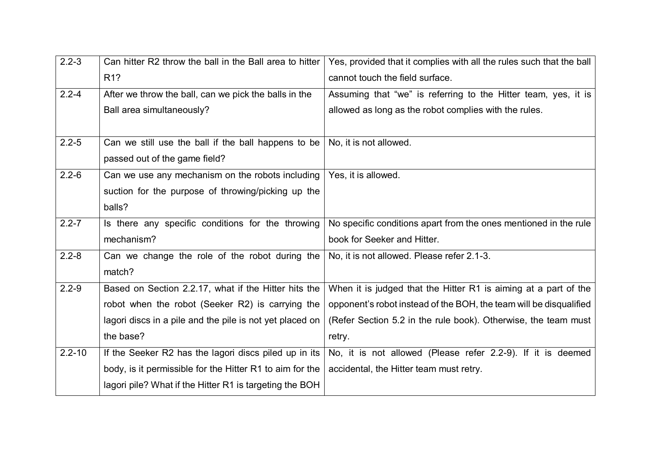| $2.2 - 3$  | Can hitter R2 throw the ball in the Ball area to hitter  | Yes, provided that it complies with all the rules such that the ball |
|------------|----------------------------------------------------------|----------------------------------------------------------------------|
|            | R <sub>1</sub> ?                                         | cannot touch the field surface.                                      |
| $2.2 - 4$  | After we throw the ball, can we pick the balls in the    | Assuming that "we" is referring to the Hitter team, yes, it is       |
|            | Ball area simultaneously?                                | allowed as long as the robot complies with the rules.                |
|            |                                                          |                                                                      |
| $2.2 - 5$  | Can we still use the ball if the ball happens to be      | No, it is not allowed.                                               |
|            | passed out of the game field?                            |                                                                      |
| $2.2 - 6$  | Can we use any mechanism on the robots including         | Yes, it is allowed.                                                  |
|            | suction for the purpose of throwing/picking up the       |                                                                      |
|            | balls?                                                   |                                                                      |
| $2.2 - 7$  | Is there any specific conditions for the throwing        | No specific conditions apart from the ones mentioned in the rule     |
|            | mechanism?                                               | book for Seeker and Hitter.                                          |
| $2.2 - 8$  | Can we change the role of the robot during the           | No, it is not allowed. Please refer 2.1-3.                           |
|            | match?                                                   |                                                                      |
| $2.2 - 9$  | Based on Section 2.2.17, what if the Hitter hits the     | When it is judged that the Hitter R1 is aiming at a part of the      |
|            | robot when the robot (Seeker R2) is carrying the         | opponent's robot instead of the BOH, the team will be disqualified   |
|            | lagori discs in a pile and the pile is not yet placed on | (Refer Section 5.2 in the rule book). Otherwise, the team must       |
|            | the base?                                                | retry.                                                               |
| $2.2 - 10$ | If the Seeker R2 has the lagori discs piled up in its    | No, it is not allowed (Please refer 2.2-9). If it is deemed          |
|            | body, is it permissible for the Hitter R1 to aim for the | accidental, the Hitter team must retry.                              |
|            | lagori pile? What if the Hitter R1 is targeting the BOH  |                                                                      |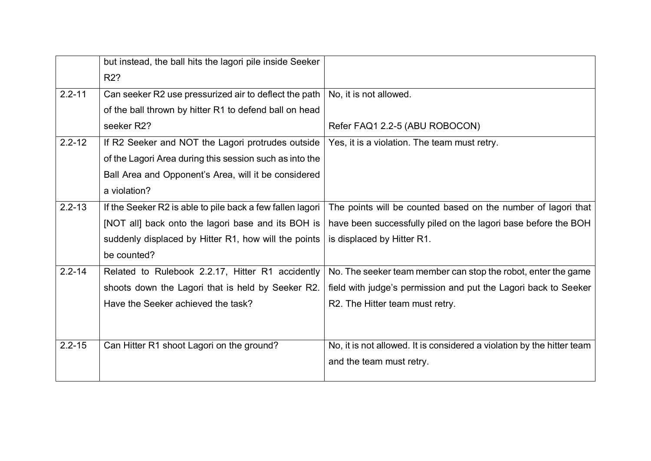|            | but instead, the ball hits the lagori pile inside Seeker<br>R <sub>2</sub> ? |                                                                        |
|------------|------------------------------------------------------------------------------|------------------------------------------------------------------------|
| $2.2 - 11$ | Can seeker R2 use pressurized air to deflect the path                        | No, it is not allowed.                                                 |
|            | of the ball thrown by hitter R1 to defend ball on head                       |                                                                        |
|            | seeker R2?                                                                   | Refer FAQ1 2.2-5 (ABU ROBOCON)                                         |
| $2.2 - 12$ | If R2 Seeker and NOT the Lagori protrudes outside                            | Yes, it is a violation. The team must retry.                           |
|            | of the Lagori Area during this session such as into the                      |                                                                        |
|            | Ball Area and Opponent's Area, will it be considered                         |                                                                        |
|            | a violation?                                                                 |                                                                        |
| $2.2 - 13$ | If the Seeker R2 is able to pile back a few fallen lagori                    | The points will be counted based on the number of lagori that          |
|            | [NOT all] back onto the lagori base and its BOH is                           | have been successfully piled on the lagori base before the BOH         |
|            | suddenly displaced by Hitter R1, how will the points                         | is displaced by Hitter R1.                                             |
|            | be counted?                                                                  |                                                                        |
| $2.2 - 14$ | Related to Rulebook 2.2.17, Hitter R1 accidently                             | No. The seeker team member can stop the robot, enter the game          |
|            | shoots down the Lagori that is held by Seeker R2.                            | field with judge's permission and put the Lagori back to Seeker        |
|            | Have the Seeker achieved the task?                                           | R2. The Hitter team must retry.                                        |
|            |                                                                              |                                                                        |
| $2.2 - 15$ | Can Hitter R1 shoot Lagori on the ground?                                    | No, it is not allowed. It is considered a violation by the hitter team |
|            |                                                                              | and the team must retry.                                               |
|            |                                                                              |                                                                        |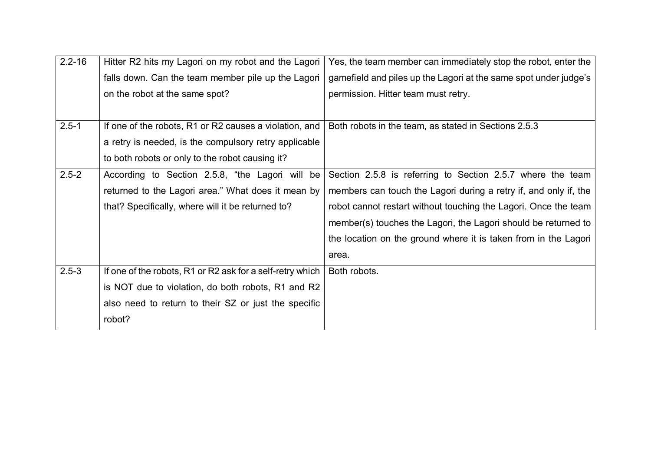| $2.2 - 16$ | Hitter R2 hits my Lagori on my robot and the Lagori       | Yes, the team member can immediately stop the robot, enter the   |
|------------|-----------------------------------------------------------|------------------------------------------------------------------|
|            | falls down. Can the team member pile up the Lagori        | gamefield and piles up the Lagori at the same spot under judge's |
|            | on the robot at the same spot?                            | permission. Hitter team must retry.                              |
|            |                                                           |                                                                  |
| $2.5 - 1$  | If one of the robots, R1 or R2 causes a violation, and    | Both robots in the team, as stated in Sections 2.5.3             |
|            | a retry is needed, is the compulsory retry applicable     |                                                                  |
|            | to both robots or only to the robot causing it?           |                                                                  |
| $2.5 - 2$  | According to Section 2.5.8, "the Lagori will be           | Section 2.5.8 is referring to Section 2.5.7 where the team       |
|            | returned to the Lagori area." What does it mean by        | members can touch the Lagori during a retry if, and only if, the |
|            | that? Specifically, where will it be returned to?         | robot cannot restart without touching the Lagori. Once the team  |
|            |                                                           | member(s) touches the Lagori, the Lagori should be returned to   |
|            |                                                           | the location on the ground where it is taken from in the Lagori  |
|            |                                                           | area.                                                            |
| $2.5 - 3$  | If one of the robots, R1 or R2 ask for a self-retry which | Both robots.                                                     |
|            | is NOT due to violation, do both robots, R1 and R2        |                                                                  |
|            | also need to return to their SZ or just the specific      |                                                                  |
|            | robot?                                                    |                                                                  |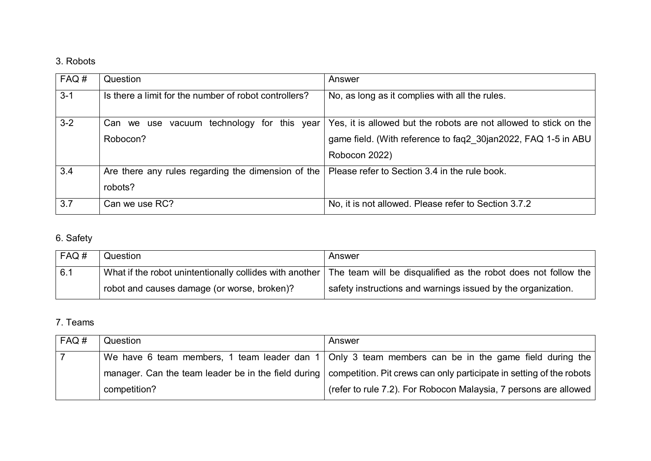# 3. Robots

| FAQ#    | Question                                              | Answer                                                            |
|---------|-------------------------------------------------------|-------------------------------------------------------------------|
| $3 - 1$ | Is there a limit for the number of robot controllers? | No, as long as it complies with all the rules.                    |
| $3 - 2$ | Can we use vacuum technology for this year            | Yes, it is allowed but the robots are not allowed to stick on the |
|         | Robocon?                                              | game field. (With reference to faq2 30jan2022, FAQ 1-5 in ABU     |
|         |                                                       | Robocon 2022)                                                     |
| 3.4     | Are there any rules regarding the dimension of the    | Please refer to Section 3.4 in the rule book.                     |
|         | robots?                                               |                                                                   |
| 3.7     | Can we use RC?                                        | No, it is not allowed. Please refer to Section 3.7.2              |

# 6. Safety

| FAQ# | Question                                    | Answer                                                                                                                   |
|------|---------------------------------------------|--------------------------------------------------------------------------------------------------------------------------|
| 6.1  |                                             | What if the robot unintentionally collides with another   The team will be disqualified as the robot does not follow the |
|      | robot and causes damage (or worse, broken)? | safety instructions and warnings issued by the organization.                                                             |

### 7. Teams

| FAQ# | Question     | Answer                                                                                                                     |
|------|--------------|----------------------------------------------------------------------------------------------------------------------------|
|      |              | We have 6 team members, 1 team leader dan 1   Only 3 team members can be in the game field during the                      |
|      |              | manager. Can the team leader be in the field during   competition. Pit crews can only participate in setting of the robots |
|      | competition? | (refer to rule 7.2). For Robocon Malaysia, 7 persons are allowed                                                           |